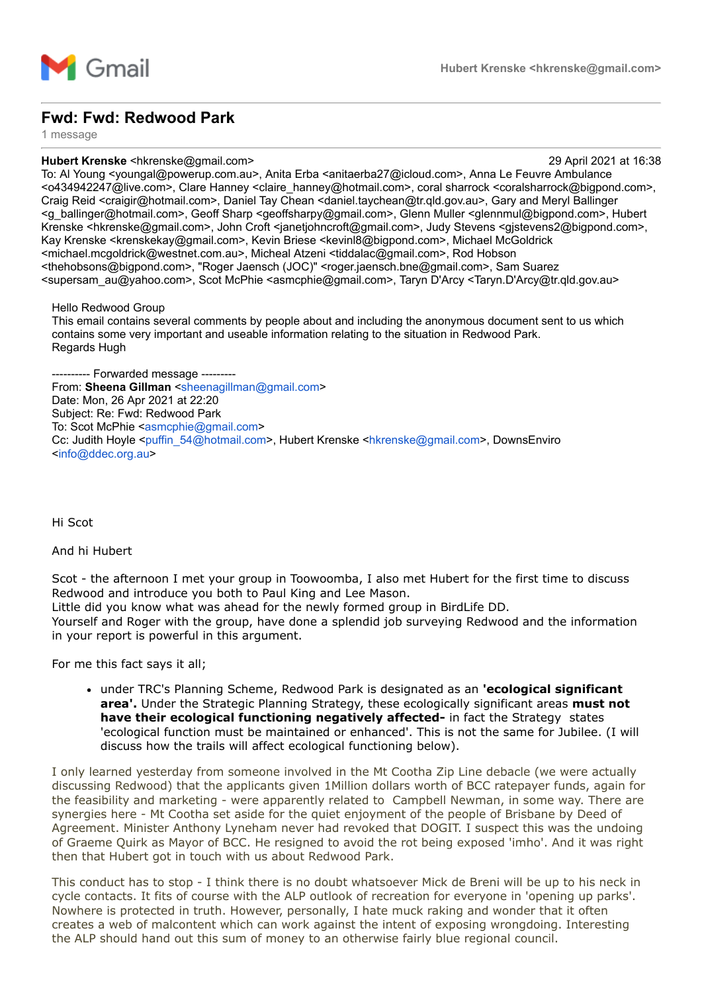

## **Fwd: Fwd: Redwood Park**

1 message

## **Hubert Krenske** <hkrenske@gmail.com> 29 April 2021 at 16:38

To: Al Young <youngal@powerup.com.au>, Anita Erba <anitaerba27@icloud.com>, Anna Le Feuvre Ambulance <o434942247@live.com>, Clare Hanney <claire\_hanney@hotmail.com>, coral sharrock <coralsharrock@bigpond.com>, Craig Reid <craigir@hotmail.com>, Daniel Tay Chean <daniel.taychean@tr.qld.gov.au>, Gary and Meryl Ballinger <g\_ballinger@hotmail.com>, Geoff Sharp <geoffsharpy@gmail.com>, Glenn Muller <glennmul@bigpond.com>, Hubert Krenske <hkrenske@gmail.com>, John Croft <ianetjohncroft@gmail.com>, Judy Stevens <gistevens2@bigpond.com>, Kay Krenske <krenskekay@gmail.com>, Kevin Briese <kevinl8@bigpond.com>, Michael McGoldrick <michael.mcgoldrick@westnet.com.au>, Micheal Atzeni <tiddalac@gmail.com>, Rod Hobson <thehobsons@bigpond.com>, "Roger Jaensch (JOC)" <roger.jaensch.bne@gmail.com>, Sam Suarez <supersam\_au@yahoo.com>, Scot McPhie <asmcphie@gmail.com>, Taryn D'Arcy <Taryn.D'Arcy@tr.qld.gov.au>

Hello Redwood Group

This email contains several comments by people about and including the anonymous document sent to us which contains some very important and useable information relating to the situation in Redwood Park. Regards Hugh

-- Forwarded message -From: **Sheena Gillman** <[sheenagillman@gmail.com](mailto:sheenagillman@gmail.com)> Date: Mon, 26 Apr 2021 at 22:20 Subject: Re: Fwd: Redwood Park To: Scot McPhie <[asmcphie@gmail.com>](mailto:asmcphie@gmail.com) Cc: Judith Hoyle <[puffin\\_54@hotmail.com>](mailto:puffin_54@hotmail.com), Hubert Krenske [<hkrenske@gmail.com](mailto:hkrenske@gmail.com)>, DownsEnviro <[info@ddec.org.au>](mailto:info@ddec.org.au)

Hi Scot

## And hi Hubert

Scot - the afternoon I met your group in Toowoomba, I also met Hubert for the first time to discuss Redwood and introduce you both to Paul King and Lee Mason.

Little did you know what was ahead for the newly formed group in BirdLife DD. Yourself and Roger with the group, have done a splendid job surveying Redwood and the information in your report is powerful in this argument.

For me this fact says it all;

under TRC's Planning Scheme, Redwood Park is designated as an **'ecological significant area'.** Under the Strategic Planning Strategy, these ecologically significant areas **must not have their ecological functioning negatively affected-** in fact the Strategy states 'ecological function must be maintained or enhanced'. This is not the same for Jubilee. (I will discuss how the trails will affect ecological functioning below).

I only learned yesterday from someone involved in the Mt Cootha Zip Line debacle (we were actually discussing Redwood) that the applicants given 1Million dollars worth of BCC ratepayer funds, again for the feasibility and marketing - were apparently related to Campbell Newman, in some way. There are synergies here - Mt Cootha set aside for the quiet enjoyment of the people of Brisbane by Deed of Agreement. Minister Anthony Lyneham never had revoked that DOGIT. I suspect this was the undoing of Graeme Quirk as Mayor of BCC. He resigned to avoid the rot being exposed 'imho'. And it was right then that Hubert got in touch with us about Redwood Park.

This conduct has to stop - I think there is no doubt whatsoever Mick de Breni will be up to his neck in cycle contacts. It fits of course with the ALP outlook of recreation for everyone in 'opening up parks'. Nowhere is protected in truth. However, personally, I hate muck raking and wonder that it often creates a web of malcontent which can work against the intent of exposing wrongdoing. Interesting the ALP should hand out this sum of money to an otherwise fairly blue regional council.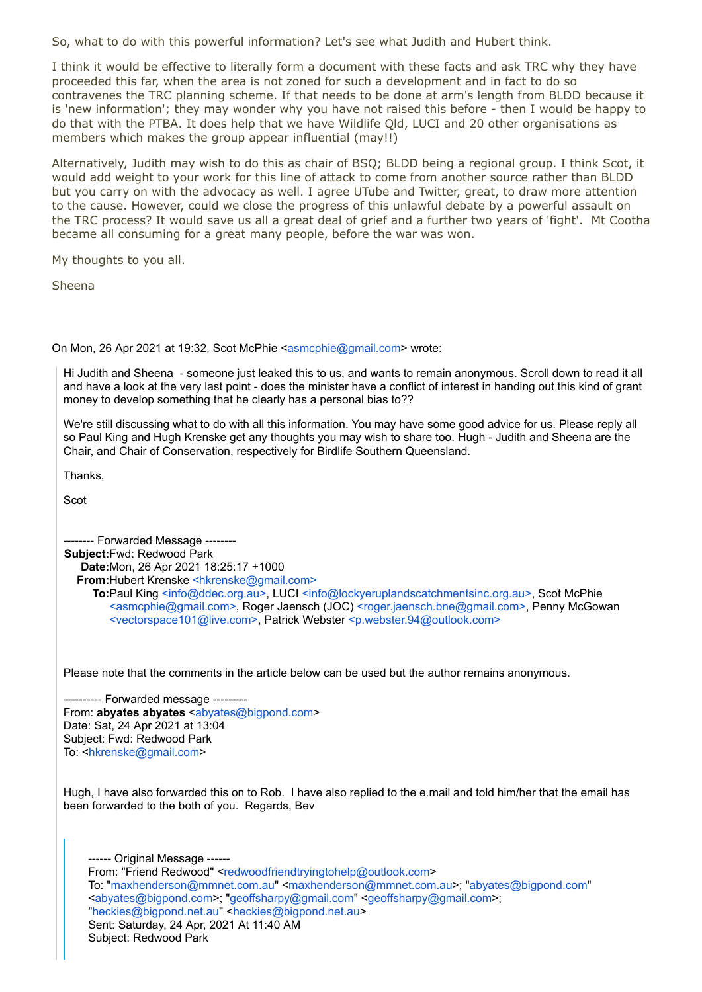So, what to do with this powerful information? Let's see what Judith and Hubert think.

I think it would be effective to literally form a document with these facts and ask TRC why they have proceeded this far, when the area is not zoned for such a development and in fact to do so contravenes the TRC planning scheme. If that needs to be done at arm's length from BLDD because it is 'new information'; they may wonder why you have not raised this before - then I would be happy to do that with the PTBA. It does help that we have Wildlife Qld, LUCI and 20 other organisations as members which makes the group appear influential (may!!)

Alternatively, Judith may wish to do this as chair of BSQ; BLDD being a regional group. I think Scot, it would add weight to your work for this line of attack to come from another source rather than BLDD but you carry on with the advocacy as well. I agree UTube and Twitter, great, to draw more attention to the cause. However, could we close the progress of this unlawful debate by a powerful assault on the TRC process? It would save us all a great deal of grief and a further two years of 'fight'. Mt Cootha became all consuming for a great many people, before the war was won.

My thoughts to you all.

Sheena

On Mon, 26 Apr 2021 at 19:32, Scot McPhie <[asmcphie@gmail.com>](mailto:asmcphie@gmail.com) wrote:

Hi Judith and Sheena - someone just leaked this to us, and wants to remain anonymous. Scroll down to read it all and have a look at the very last point - does the minister have a conflict of interest in handing out this kind of grant money to develop something that he clearly has a personal bias to??

We're still discussing what to do with all this information. You may have some good advice for us. Please reply all so Paul King and Hugh Krenske get any thoughts you may wish to share too. Hugh - Judith and Sheena are the Chair, and Chair of Conservation, respectively for Birdlife Southern Queensland.

Thanks,

Scot

-------- Forwarded Message -------- **Subject:**Fwd: Redwood Park **Date:**Mon, 26 Apr 2021 18:25:17 +1000 **From:**Hubert Krenske [<hkrenske@gmail.com>](mailto:hkrenske@gmail.com) **To:**Paul King [<info@ddec.org.au>,](mailto:info@ddec.org.au) LUCI [<info@lockyeruplandscatchmentsinc.org.au>](mailto:info@lockyeruplandscatchmentsinc.org.au), Scot McPhie [<asmcphie@gmail.com>](mailto:asmcphie@gmail.com), Roger Jaensch (JOC) [<roger.jaensch.bne@gmail.com>](mailto:roger.jaensch.bne@gmail.com), Penny McGowan [<vectorspace101@live.com>,](mailto:vectorspace101@live.com) Patrick Webster [<p.webster.94@outlook.com>](mailto:p.webster.94@outlook.com)

Please note that the comments in the article below can be used but the author remains anonymous.

---------- Forwarded message --------- From: **abyates** abyates <[abyates@bigpond.com](mailto:abyates@bigpond.com)> Date: Sat, 24 Apr 2021 at 13:04 Subject: Fwd: Redwood Park To: <[hkrenske@gmail.com](mailto:hkrenske@gmail.com)>

Hugh, I have also forwarded this on to Rob. I have also replied to the e.mail and told him/her that the email has been forwarded to the both of you. Regards, Bev

--- Original Message ------From: "Friend Redwood" <[redwoodfriendtryingtohelp@outlook.com](mailto:redwoodfriendtryingtohelp@outlook.com)> To: ["maxhenderson@mmnet.com.au"](mailto:maxhenderson@mmnet.com.au) <[maxhenderson@mmnet.com.au>](mailto:maxhenderson@mmnet.com.au); ["abyates@bigpond.com](mailto:abyates@bigpond.com)" <[abyates@bigpond.com>](mailto:abyates@bigpond.com); ["geoffsharpy@gmail.com](mailto:geoffsharpy@gmail.com)" [<geoffsharpy@gmail.com](mailto:geoffsharpy@gmail.com)>; "[heckies@bigpond.net.au"](mailto:heckies@bigpond.net.au) <[heckies@bigpond.net.au](mailto:heckies@bigpond.net.au)> Sent: Saturday, 24 Apr, 2021 At 11:40 AM Subject: Redwood Park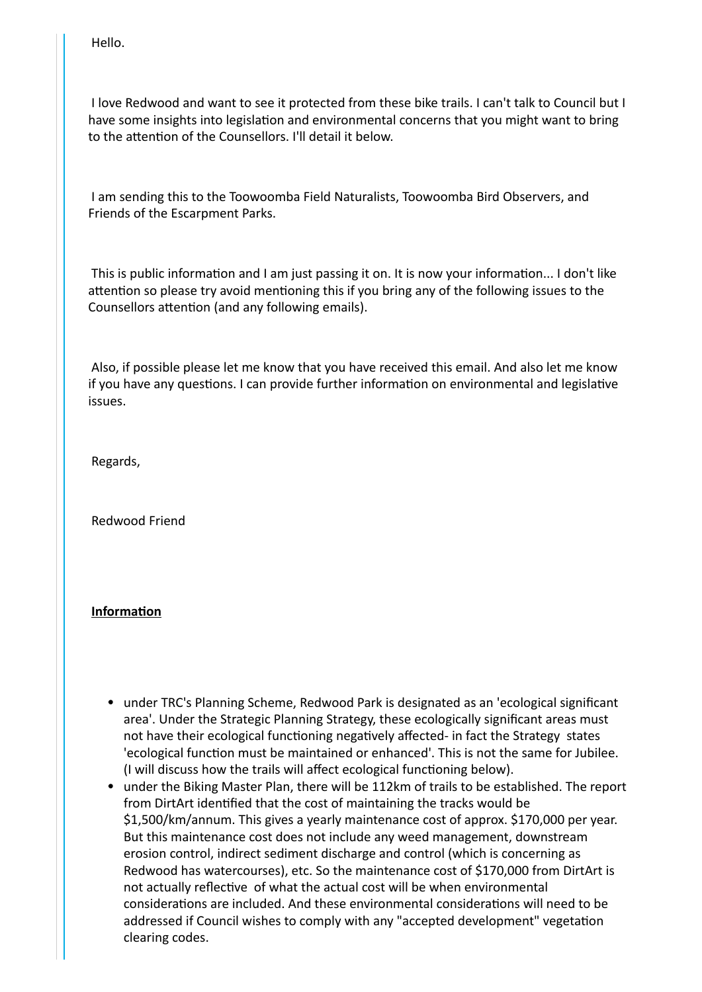Hello.

 I love Redwood and want to see it protected from these bike trails. I can't talk to Council but I have some insights into legislation and environmental concerns that you might want to bring to the attention of the Counsellors. I'll detail it below.

 I am sending this to the Toowoomba Field Naturalists, Toowoomba Bird Observers, and Friends of the Escarpment Parks.

 This is public information and I am just passing it on. It is now your information... I don't like attention so please try avoid mentioning this if you bring any of the following issues to the Counsellors attention (and any following emails).

 Also, if possible please let me know that you have received this email. And also let me know if you have any questions. I can provide further information on environmental and legislative issues.

Regards,

Redwood Friend

## **Information**

- under TRC's Planning Scheme, Redwood Park is designated as an 'ecological significant area'. Under the Strategic Planning Strategy, these ecologically significant areas must not have their ecological functioning negatively affected- in fact the Strategy states 'ecological function must be maintained or enhanced'. This is not the same for Jubilee. (I will discuss how the trails will affect ecological functioning below).
- under the Biking Master Plan, there will be 112km of trails to be established. The report from DirtArt identified that the cost of maintaining the tracks would be \$1,500/km/annum. This gives a yearly maintenance cost of approx. \$170,000 per year. But this maintenance cost does not include any weed management, downstream erosion control, indirect sediment discharge and control (which is concerning as Redwood has watercourses), etc. So the maintenance cost of \$170,000 from DirtArt is not actually reflective of what the actual cost will be when environmental considerations are included. And these environmental considerations will need to be addressed if Council wishes to comply with any "accepted development" vegetation clearing codes.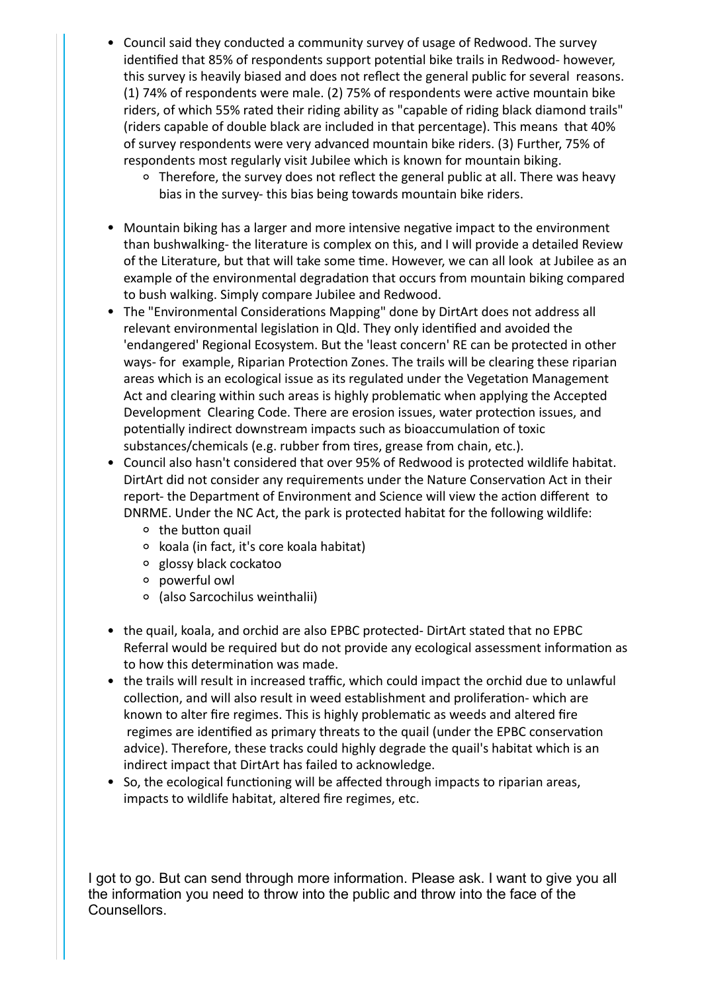- Council said they conducted a community survey of usage of Redwood. The survey identified that 85% of respondents support potential bike trails in Redwood- however, this survey is heavily biased and does not reflect the general public for several reasons. (1) 74% of respondents were male. (2) 75% of respondents were active mountain bike riders, of which 55% rated their riding ability as "capable of riding black diamond trails" (riders capable of double black are included in that percentage). This means that 40% of survey respondents were very advanced mountain bike riders. (3) Further, 75% of respondents most regularly visit Jubilee which is known for mountain biking.
	- <sup>o</sup> Therefore, the survey does not reflect the general public at all. There was heavy bias in the survey- this bias being towards mountain bike riders.
- Mountain biking has a larger and more intensive negative impact to the environment than bushwalking- the literature is complex on this, and I will provide a detailed Review of the Literature, but that will take some time. However, we can all look at Jubilee as an example of the environmental degradation that occurs from mountain biking compared to bush walking. Simply compare Jubilee and Redwood.
- The "Environmental Considerations Mapping" done by DirtArt does not address all relevant environmental legislation in Qld. They only identified and avoided the 'endangered' Regional Ecosystem. But the 'least concern' RE can be protected in other ways- for example, Riparian Protection Zones. The trails will be clearing these riparian areas which is an ecological issue as its regulated under the Vegetation Management Act and clearing within such areas is highly problematic when applying the Accepted Development Clearing Code. There are erosion issues, water protection issues, and potentially indirect downstream impacts such as bioaccumulation of toxic substances/chemicals (e.g. rubber from tires, grease from chain, etc.).
- Council also hasn't considered that over 95% of Redwood is protected wildlife habitat. DirtArt did not consider any requirements under the Nature Conservation Act in their report- the Department of Environment and Science will view the action different to DNRME. Under the NC Act, the park is protected habitat for the following wildlife:
	- $\circ$  the button quail
	- koala (in fact, it's core koala habitat)
	- glossy black cockatoo
	- powerful owl
	- (also Sarcochilus weinthalii)
- the quail, koala, and orchid are also EPBC protected- DirtArt stated that no EPBC Referral would be required but do not provide any ecological assessment information as to how this determination was made.
- the trails will result in increased traffic, which could impact the orchid due to unlawful collection, and will also result in weed establishment and proliferation- which are known to alter fire regimes. This is highly problematic as weeds and altered fire regimes are identified as primary threats to the quail (under the EPBC conservation advice). Therefore, these tracks could highly degrade the quail's habitat which is an indirect impact that DirtArt has failed to acknowledge.
- So, the ecological functioning will be affected through impacts to riparian areas, impacts to wildlife habitat, altered fire regimes, etc.

I got to go. But can send through more information. Please ask. I want to give you all the information you need to throw into the public and throw into the face of the Counsellors.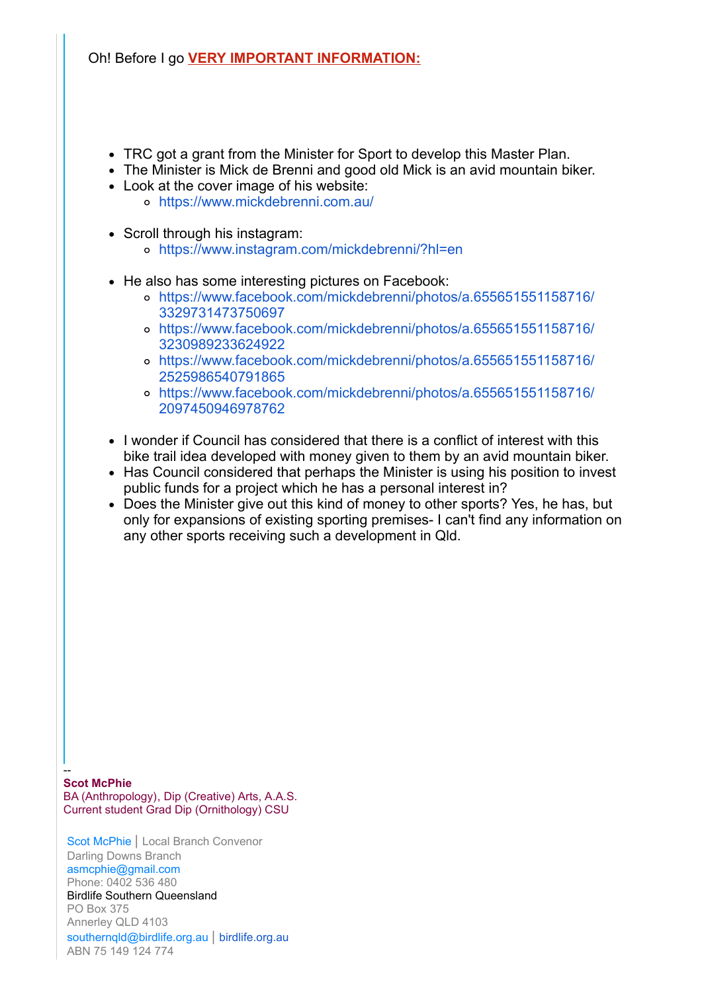Oh! Before I go **VERY IMPORTANT INFORMATION:**

- TRC got a grant from the Minister for Sport to develop this Master Plan.
- The Minister is Mick de Brenni and good old Mick is an avid mountain biker.
- Look at the cover image of his website: <https://www.mickdebrenni.com.au/>
- Scroll through his instagram:
	- <https://www.instagram.com/mickdebrenni/?hl=en>
- He also has some interesting pictures on Facebook:
	- [https://www.facebook.com/mickdebrenni/photos/a.655651551158716/](https://www.facebook.com/mickdebrenni/photos/a.655651551158716/3329731473750697) 3329731473750697
	- [https://www.facebook.com/mickdebrenni/photos/a.655651551158716/](https://www.facebook.com/mickdebrenni/photos/a.655651551158716/3230989233624922) 3230989233624922
	- [https://www.facebook.com/mickdebrenni/photos/a.655651551158716/](https://www.facebook.com/mickdebrenni/photos/a.655651551158716/2525986540791865) 2525986540791865
	- [https://www.facebook.com/mickdebrenni/photos/a.655651551158716/](https://www.facebook.com/mickdebrenni/photos/a.655651551158716/2097450946978762) 2097450946978762
- I wonder if Council has considered that there is a conflict of interest with this bike trail idea developed with money given to them by an avid mountain biker.
- Has Council considered that perhaps the Minister is using his position to invest public funds for a project which he has a personal interest in?
- Does the Minister give out this kind of money to other sports? Yes, he has, but only for expansions of existing sporting premises- I can't find any information on any other sports receiving such a development in Qld.

-- **Scot McPhie** BA (Anthropology), Dip (Creative) Arts, A.A.S. Current student Grad Dip (Ornithology) CSU

Scot McPhie | Local Branch Convenor Darling Downs Branch asmcphie@gmail.com Phone: 0402 536 480 Birdlife Southern Queensland PO Box 375 Annerley QLD 4103 southernqld@birdlife.org.au | [birdlife.org.au](http://birdlife.org.au/) ABN 75 149 124 774